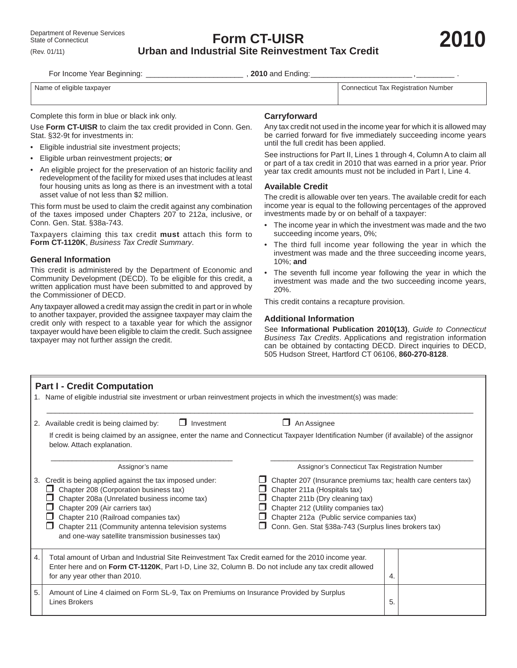**Form CT-UISR Urban and Industrial Site Reinvestment Tax Credit**

For Income Year Beginning: \_\_\_\_\_\_\_\_\_\_\_\_\_\_\_\_\_\_\_\_\_\_\_\_\_\_\_\_\_\_\_\_\_\_, 2010 and Ending:\_

Name of eligible taxpayer **Name of eligible taxpayer** Connecticut Tax Registration Number

Complete this form in blue or black ink only.

Use **Form CT-UISR** to claim the tax credit provided in Conn. Gen. Stat. §32-9t for investments in:

- Eligible industrial site investment projects;
- Eligible urban reinvestment projects; **or**
- An eligible project for the preservation of an historic facility and redevelopment of the facility for mixed uses that includes at least four housing units as long as there is an investment with a total asset value of not less than \$2 million.

This form must be used to claim the credit against any combination of the taxes imposed under Chapters 207 to 212a, inclusive, or Conn. Gen. Stat. §38a-743.

Taxpayers claiming this tax credit **must** attach this form to **Form CT-1120K**, *Business Tax Credit Summary*.

### **General Information**

This credit is administered by the Department of Economic and Community Development (DECD). To be eligible for this credit, a written application must have been submitted to and approved by the Commissioner of DECD.

Any taxpayer allowed a credit may assign the credit in part or in whole to another taxpayer, provided the assignee taxpayer may claim the credit only with respect to a taxable year for which the assignor taxpayer would have been eligible to claim the credit. Such assignee taxpayer may not further assign the credit.

## **Carryforward**

Any tax credit not used in the income year for which it is allowed may be carried forward for five immediately succeeding income years until the full credit has been applied.

See instructions for Part II, Lines 1 through 4, Column A to claim all or part of a tax credit in 2010 that was earned in a prior year. Prior year tax credit amounts must not be included in Part I, Line 4.

### **Available Credit**

The credit is allowable over ten years. The available credit for each income year is equal to the following percentages of the approved investments made by or on behalf of a taxpayer:

- The income year in which the investment was made and the two succeeding income years, 0%;
- The third full income year following the year in which the investment was made and the three succeeding income years, 10%; **and**
- The seventh full income year following the year in which the investment was made and the two succeeding income years, 20%.

This credit contains a recapture provision.

#### **Additional Information**

See **Informational Publication 2010(13)**, *Guide to Connecticut Business Tax Credits*. Applications and registration information can be obtained by contacting DECD. Direct inquiries to DECD, 505 Hudson Street, Hartford CT 06106, **860-270-8128**.

| <b>Part I - Credit Computation</b><br>1. Name of eligible industrial site investment or urban reinvestment projects in which the investment(s) was made: |                                                                                                                                                                                                                                                                                                                                                                                                                                                                    |                                                                                                                                                                                                                        |  |  |  |  |  |  |  |
|----------------------------------------------------------------------------------------------------------------------------------------------------------|--------------------------------------------------------------------------------------------------------------------------------------------------------------------------------------------------------------------------------------------------------------------------------------------------------------------------------------------------------------------------------------------------------------------------------------------------------------------|------------------------------------------------------------------------------------------------------------------------------------------------------------------------------------------------------------------------|--|--|--|--|--|--|--|
| 2.                                                                                                                                                       | Investment<br>An Assignee<br>Available credit is being claimed by:<br>If credit is being claimed by an assignee, enter the name and Connecticut Taxpayer Identification Number (if available) of the assignor<br>below. Attach explanation.                                                                                                                                                                                                                        |                                                                                                                                                                                                                        |  |  |  |  |  |  |  |
| 3.                                                                                                                                                       | Assignor's name<br>Credit is being applied against the tax imposed under:<br>Chapter 208 (Corporation business tax)<br>Chapter 211a (Hospitals tax)<br>Chapter 208a (Unrelated business income tax)<br>Chapter 211b (Dry cleaning tax)<br>Chapter 209 (Air carriers tax)<br>Chapter 212 (Utility companies tax)<br>Chapter 210 (Railroad companies tax)<br>Chapter 211 (Community antenna television systems<br>and one-way satellite transmission businesses tax) | Assignor's Connecticut Tax Registration Number<br>Chapter 207 (Insurance premiums tax; health care centers tax)<br>Chapter 212a (Public service companies tax)<br>Conn. Gen. Stat §38a-743 (Surplus lines brokers tax) |  |  |  |  |  |  |  |
| 4.                                                                                                                                                       | Total amount of Urban and Industrial Site Reinvestment Tax Credit earned for the 2010 income year.<br>Enter here and on Form CT-1120K, Part I-D, Line 32, Column B. Do not include any tax credit allowed<br>for any year other than 2010.                                                                                                                                                                                                                         | 4.                                                                                                                                                                                                                     |  |  |  |  |  |  |  |
| 5.                                                                                                                                                       | Amount of Line 4 claimed on Form SL-9, Tax on Premiums on Insurance Provided by Surplus<br>Lines Brokers                                                                                                                                                                                                                                                                                                                                                           | 5.                                                                                                                                                                                                                     |  |  |  |  |  |  |  |